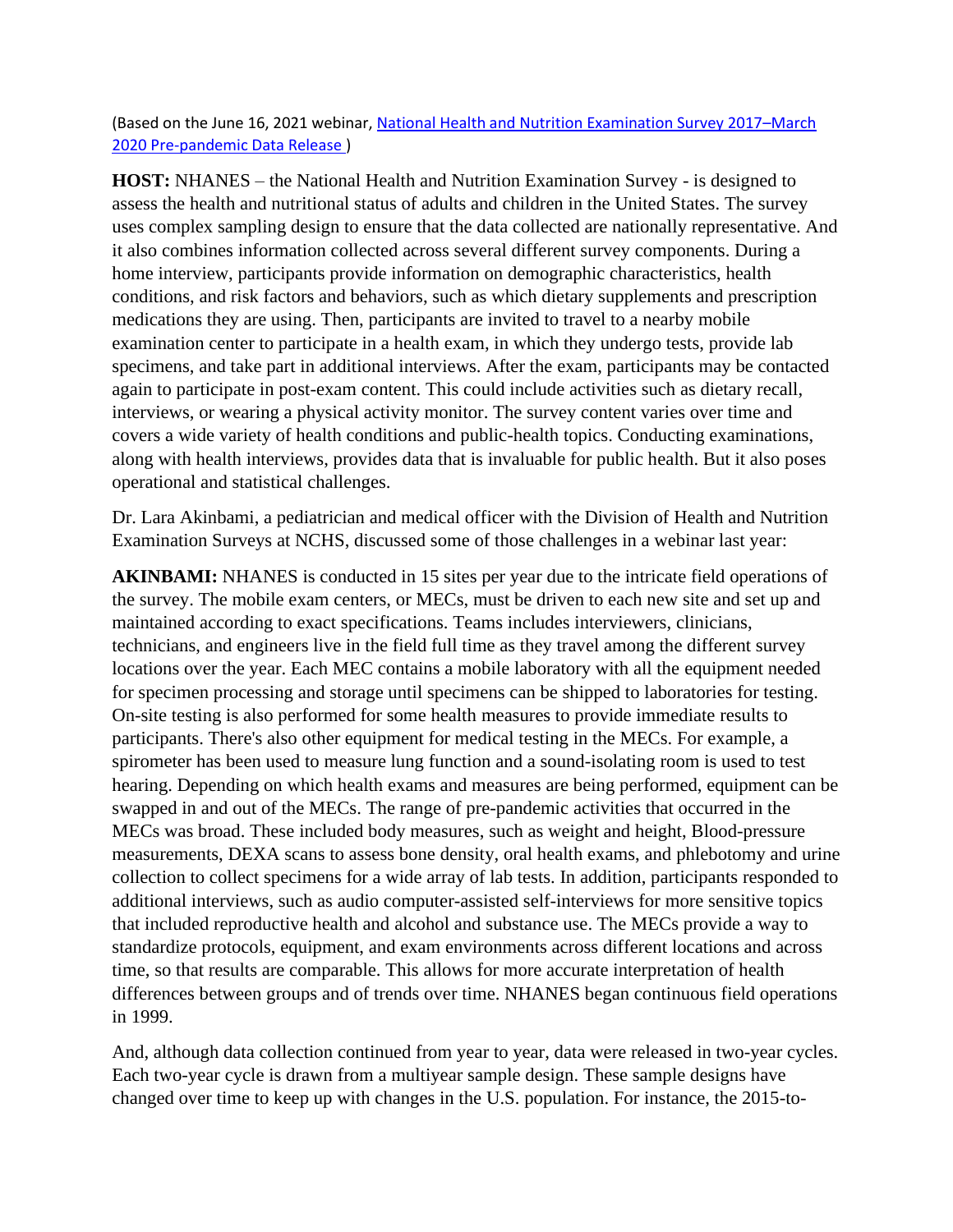(Based on the June 16, 2021 webinar, [National Health and Nutrition Examination Survey 2017](https://www.cdc.gov/nchs/nhanes/nhanes-webinar.htm)–March [2020 Pre-pandemic Data Release \)](https://www.cdc.gov/nchs/nhanes/nhanes-webinar.htm)

**HOST:** NHANES – the National Health and Nutrition Examination Survey - is designed to assess the health and nutritional status of adults and children in the United States. The survey uses complex sampling design to ensure that the data collected are nationally representative. And it also combines information collected across several different survey components. During a home interview, participants provide information on demographic characteristics, health conditions, and risk factors and behaviors, such as which dietary supplements and prescription medications they are using. Then, participants are invited to travel to a nearby mobile examination center to participate in a health exam, in which they undergo tests, provide lab specimens, and take part in additional interviews. After the exam, participants may be contacted again to participate in post-exam content. This could include activities such as dietary recall, interviews, or wearing a physical activity monitor. The survey content varies over time and covers a wide variety of health conditions and public-health topics. Conducting examinations, along with health interviews, provides data that is invaluable for public health. But it also poses operational and statistical challenges.

Dr. Lara Akinbami, a pediatrician and medical officer with the Division of Health and Nutrition Examination Surveys at NCHS, discussed some of those challenges in a webinar last year:

**AKINBAMI:** NHANES is conducted in 15 sites per year due to the intricate field operations of the survey. The mobile exam centers, or MECs, must be driven to each new site and set up and maintained according to exact specifications. Teams includes interviewers, clinicians, technicians, and engineers live in the field full time as they travel among the different survey locations over the year. Each MEC contains a mobile laboratory with all the equipment needed for specimen processing and storage until specimens can be shipped to laboratories for testing. On-site testing is also performed for some health measures to provide immediate results to participants. There's also other equipment for medical testing in the MECs. For example, a spirometer has been used to measure lung function and a sound-isolating room is used to test hearing. Depending on which health exams and measures are being performed, equipment can be swapped in and out of the MECs. The range of pre-pandemic activities that occurred in the MECs was broad. These included body measures, such as weight and height, Blood-pressure measurements, DEXA scans to assess bone density, oral health exams, and phlebotomy and urine collection to collect specimens for a wide array of lab tests. In addition, participants responded to additional interviews, such as audio computer-assisted self-interviews for more sensitive topics that included reproductive health and alcohol and substance use. The MECs provide a way to standardize protocols, equipment, and exam environments across different locations and across time, so that results are comparable. This allows for more accurate interpretation of health differences between groups and of trends over time. NHANES began continuous field operations in 1999.

And, although data collection continued from year to year, data were released in two-year cycles. Each two-year cycle is drawn from a multiyear sample design. These sample designs have changed over time to keep up with changes in the U.S. population. For instance, the 2015-to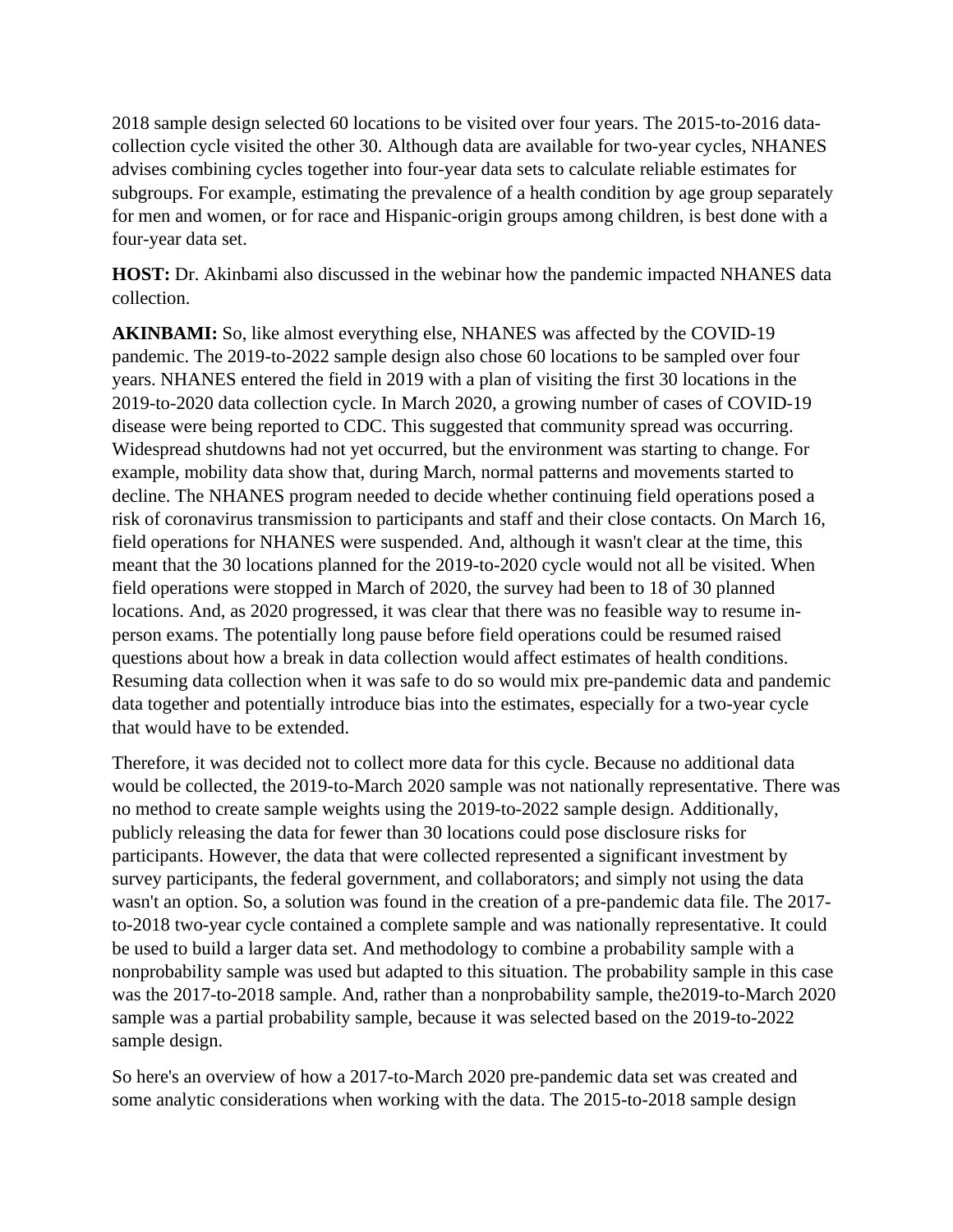2018 sample design selected 60 locations to be visited over four years. The 2015-to-2016 datacollection cycle visited the other 30. Although data are available for two-year cycles, NHANES advises combining cycles together into four-year data sets to calculate reliable estimates for subgroups. For example, estimating the prevalence of a health condition by age group separately for men and women, or for race and Hispanic-origin groups among children, is best done with a four-year data set.

**HOST:** Dr. Akinbami also discussed in the webinar how the pandemic impacted NHANES data collection.

**AKINBAMI:** So, like almost everything else, NHANES was affected by the COVID-19 pandemic. The 2019-to-2022 sample design also chose 60 locations to be sampled over four years. NHANES entered the field in 2019 with a plan of visiting the first 30 locations in the 2019-to-2020 data collection cycle. In March 2020, a growing number of cases of COVID-19 disease were being reported to CDC. This suggested that community spread was occurring. Widespread shutdowns had not yet occurred, but the environment was starting to change. For example, mobility data show that, during March, normal patterns and movements started to decline. The NHANES program needed to decide whether continuing field operations posed a risk of coronavirus transmission to participants and staff and their close contacts. On March 16, field operations for NHANES were suspended. And, although it wasn't clear at the time, this meant that the 30 locations planned for the 2019-to-2020 cycle would not all be visited. When field operations were stopped in March of 2020, the survey had been to 18 of 30 planned locations. And, as 2020 progressed, it was clear that there was no feasible way to resume inperson exams. The potentially long pause before field operations could be resumed raised questions about how a break in data collection would affect estimates of health conditions. Resuming data collection when it was safe to do so would mix pre-pandemic data and pandemic data together and potentially introduce bias into the estimates, especially for a two-year cycle that would have to be extended.

Therefore, it was decided not to collect more data for this cycle. Because no additional data would be collected, the 2019-to-March 2020 sample was not nationally representative. There was no method to create sample weights using the 2019-to-2022 sample design. Additionally, publicly releasing the data for fewer than 30 locations could pose disclosure risks for participants. However, the data that were collected represented a significant investment by survey participants, the federal government, and collaborators; and simply not using the data wasn't an option. So, a solution was found in the creation of a pre-pandemic data file. The 2017 to-2018 two-year cycle contained a complete sample and was nationally representative. It could be used to build a larger data set. And methodology to combine a probability sample with a nonprobability sample was used but adapted to this situation. The probability sample in this case was the 2017-to-2018 sample. And, rather than a nonprobability sample, the2019-to-March 2020 sample was a partial probability sample, because it was selected based on the 2019-to-2022 sample design.

So here's an overview of how a 2017-to-March 2020 pre-pandemic data set was created and some analytic considerations when working with the data. The 2015-to-2018 sample design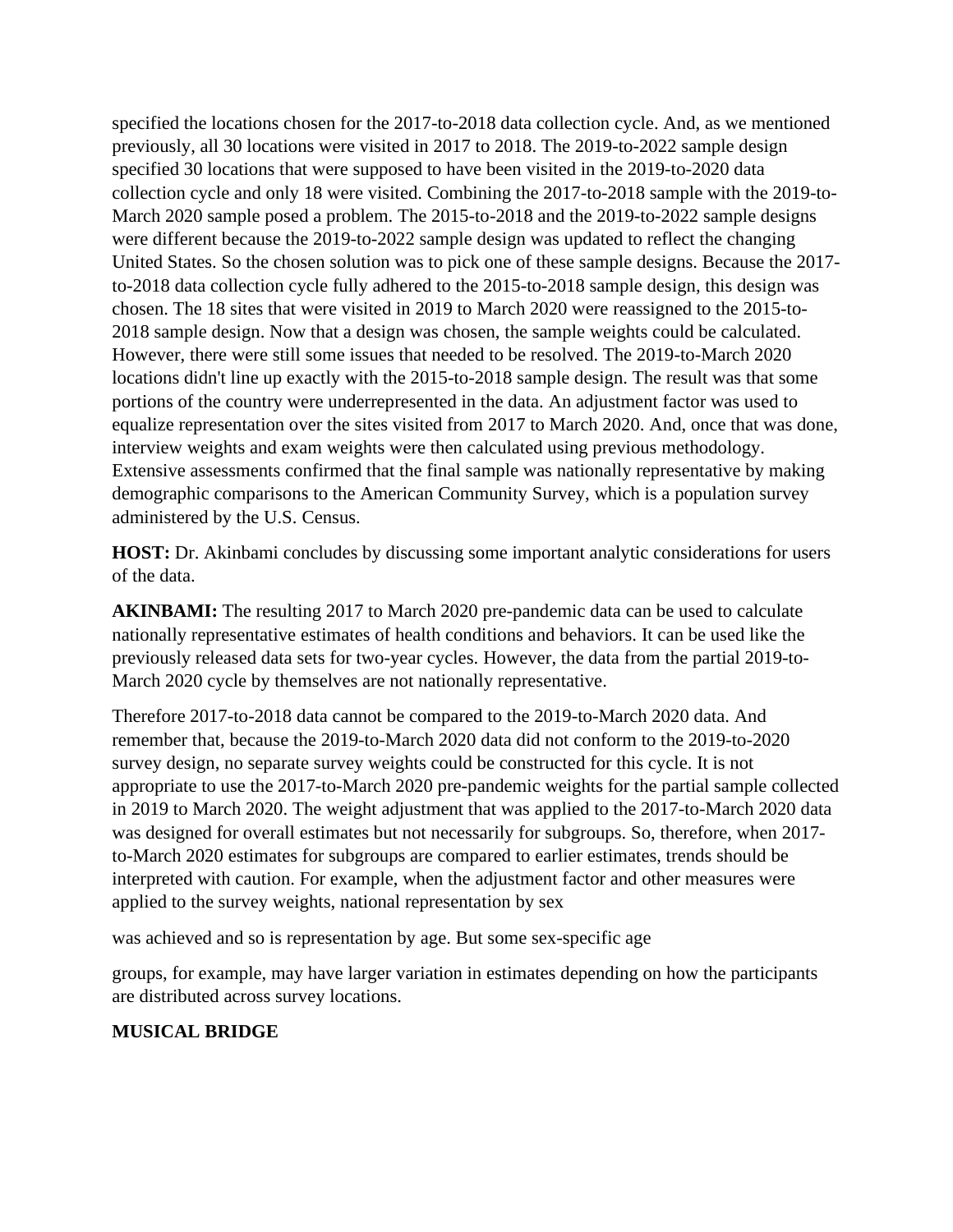specified the locations chosen for the 2017-to-2018 data collection cycle. And, as we mentioned previously, all 30 locations were visited in 2017 to 2018. The 2019-to-2022 sample design specified 30 locations that were supposed to have been visited in the 2019-to-2020 data collection cycle and only 18 were visited. Combining the 2017-to-2018 sample with the 2019-to-March 2020 sample posed a problem. The 2015-to-2018 and the 2019-to-2022 sample designs were different because the 2019-to-2022 sample design was updated to reflect the changing United States. So the chosen solution was to pick one of these sample designs. Because the 2017 to-2018 data collection cycle fully adhered to the 2015-to-2018 sample design, this design was chosen. The 18 sites that were visited in 2019 to March 2020 were reassigned to the 2015-to-2018 sample design. Now that a design was chosen, the sample weights could be calculated. However, there were still some issues that needed to be resolved. The 2019-to-March 2020 locations didn't line up exactly with the 2015-to-2018 sample design. The result was that some portions of the country were underrepresented in the data. An adjustment factor was used to equalize representation over the sites visited from 2017 to March 2020. And, once that was done, interview weights and exam weights were then calculated using previous methodology. Extensive assessments confirmed that the final sample was nationally representative by making demographic comparisons to the American Community Survey, which is a population survey administered by the U.S. Census.

**HOST:** Dr. Akinbami concludes by discussing some important analytic considerations for users of the data.

**AKINBAMI:** The resulting 2017 to March 2020 pre-pandemic data can be used to calculate nationally representative estimates of health conditions and behaviors. It can be used like the previously released data sets for two-year cycles. However, the data from the partial 2019-to-March 2020 cycle by themselves are not nationally representative.

Therefore 2017-to-2018 data cannot be compared to the 2019-to-March 2020 data. And remember that, because the 2019-to-March 2020 data did not conform to the 2019-to-2020 survey design, no separate survey weights could be constructed for this cycle. It is not appropriate to use the 2017-to-March 2020 pre-pandemic weights for the partial sample collected in 2019 to March 2020. The weight adjustment that was applied to the 2017-to-March 2020 data was designed for overall estimates but not necessarily for subgroups. So, therefore, when 2017 to-March 2020 estimates for subgroups are compared to earlier estimates, trends should be interpreted with caution. For example, when the adjustment factor and other measures were applied to the survey weights, national representation by sex

was achieved and so is representation by age. But some sex-specific age

groups, for example, may have larger variation in estimates depending on how the participants are distributed across survey locations.

## **MUSICAL BRIDGE**